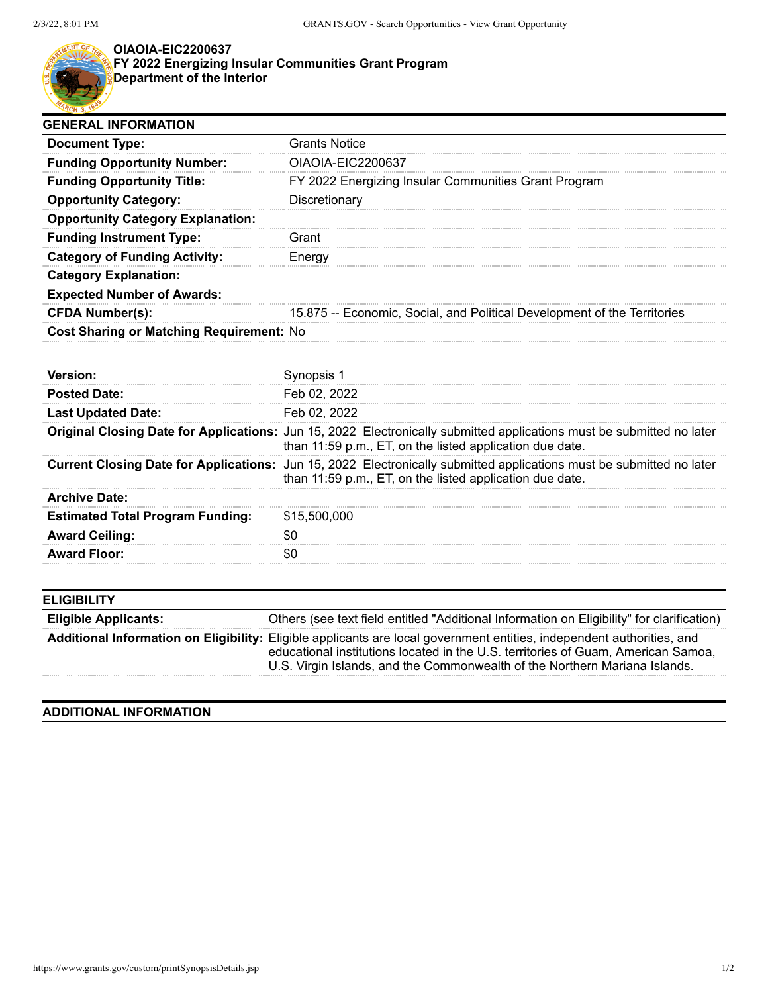

## **OIAOIA-EIC2200637**

**FY 2022 Energizing Insular Communities Grant Program Department of the Interior**

| <b>GENERAL INFORMATION</b>                      |                                                                          |
|-------------------------------------------------|--------------------------------------------------------------------------|
| <b>Document Type:</b>                           | <b>Grants Notice</b>                                                     |
| <b>Funding Opportunity Number:</b>              | OIAOIA-EIC2200637                                                        |
| <b>Funding Opportunity Title:</b>               | FY 2022 Energizing Insular Communities Grant Program                     |
| <b>Opportunity Category:</b>                    | Discretionary                                                            |
| <b>Opportunity Category Explanation:</b>        |                                                                          |
| <b>Funding Instrument Type:</b>                 | Grant                                                                    |
| <b>Category of Funding Activity:</b>            | Energy                                                                   |
| <b>Category Explanation:</b>                    |                                                                          |
| <b>Expected Number of Awards:</b>               |                                                                          |
| <b>CFDA Number(s):</b>                          | 15.875 -- Economic, Social, and Political Development of the Territories |
| <b>Cost Sharing or Matching Requirement: No</b> |                                                                          |

| <b>Posted Date:</b>                     | Feb 02, 2022                                                                                                                                                                             |
|-----------------------------------------|------------------------------------------------------------------------------------------------------------------------------------------------------------------------------------------|
| <b>Last Updated Date:</b>               | Feb 02, 2022                                                                                                                                                                             |
|                                         | <b>Original Closing Date for Applications:</b> Jun 15, 2022 Electronically submitted applications must be submitted no later<br>than 11:59 p.m., ET, on the listed application due date. |
|                                         | <b>Current Closing Date for Applications:</b> Jun 15, 2022 Electronically submitted applications must be submitted no later<br>than 11:59 p.m., ET, on the listed application due date.  |
| <b>Archive Date:</b>                    |                                                                                                                                                                                          |
| <b>Estimated Total Program Funding:</b> | \$15,500,000                                                                                                                                                                             |
| <b>Award Ceiling:</b>                   |                                                                                                                                                                                          |
| <b>Award Floor:</b>                     |                                                                                                                                                                                          |

| <b>ELIGIBILITY</b>          |                                                                                                                                                                                                                                                                                           |
|-----------------------------|-------------------------------------------------------------------------------------------------------------------------------------------------------------------------------------------------------------------------------------------------------------------------------------------|
| <b>Eligible Applicants:</b> | Others (see text field entitled "Additional Information on Eligibility" for clarification)                                                                                                                                                                                                |
|                             | Additional Information on Eligibility: Eligible applicants are local government entities, independent authorities, and<br>educational institutions located in the U.S. territories of Guam, American Samoa,<br>U.S. Virgin Islands, and the Commonwealth of the Northern Mariana Islands. |

## **ADDITIONAL INFORMATION**